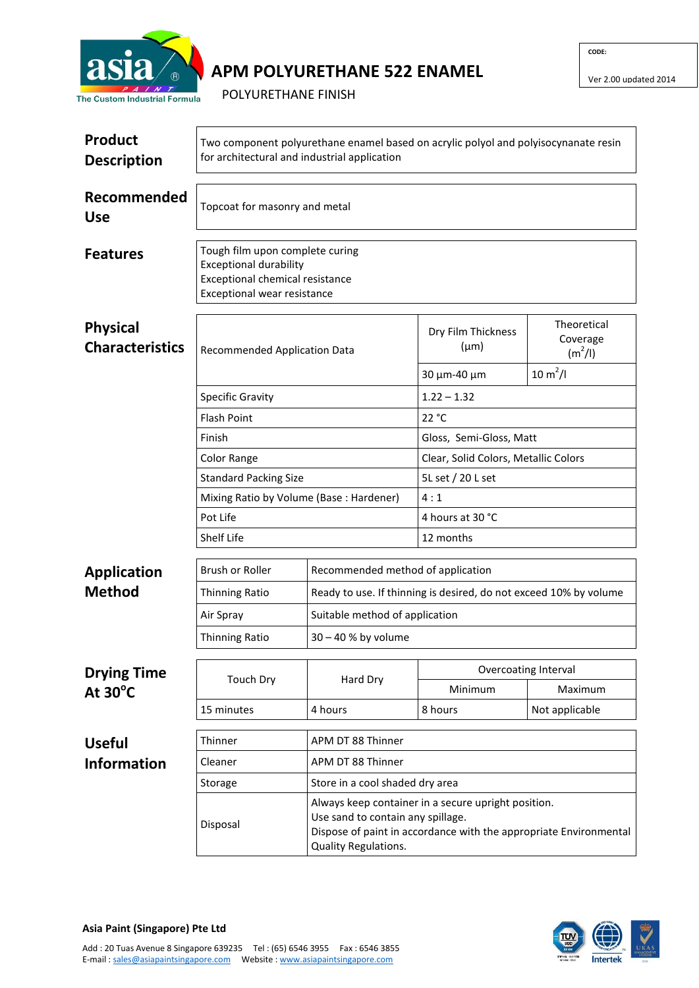

## **APM POLYURETHANE 522 ENAMEL**

**CODE:**

Ver 2.00 updated 2014

POLYURETHANE FINISH

| Product<br><b>Description</b>             | Two component polyurethane enamel based on acrylic polyol and polyisocynanate resin<br>for architectural and industrial application |                                                                                                                                                                                       |                                                                   |                                                            |  |  |
|-------------------------------------------|-------------------------------------------------------------------------------------------------------------------------------------|---------------------------------------------------------------------------------------------------------------------------------------------------------------------------------------|-------------------------------------------------------------------|------------------------------------------------------------|--|--|
| Recommended<br><b>Use</b>                 | Topcoat for masonry and metal                                                                                                       |                                                                                                                                                                                       |                                                                   |                                                            |  |  |
| <b>Features</b>                           | Tough film upon complete curing<br><b>Exceptional durability</b><br>Exceptional chemical resistance<br>Exceptional wear resistance  |                                                                                                                                                                                       |                                                                   |                                                            |  |  |
| <b>Physical</b><br><b>Characteristics</b> | <b>Recommended Application Data</b>                                                                                                 |                                                                                                                                                                                       | Dry Film Thickness<br>$(\mu m)$<br>30 μm-40 μm                    | Theoretical<br>Coverage<br>$(m^2/l)$<br>$10 \text{ m}^2/l$ |  |  |
|                                           | <b>Specific Gravity</b>                                                                                                             |                                                                                                                                                                                       | $1.22 - 1.32$                                                     |                                                            |  |  |
|                                           | <b>Flash Point</b>                                                                                                                  |                                                                                                                                                                                       | 22 °C                                                             |                                                            |  |  |
|                                           | Finish                                                                                                                              |                                                                                                                                                                                       | Gloss, Semi-Gloss, Matt                                           |                                                            |  |  |
|                                           | Color Range                                                                                                                         |                                                                                                                                                                                       | Clear, Solid Colors, Metallic Colors                              |                                                            |  |  |
|                                           | <b>Standard Packing Size</b>                                                                                                        |                                                                                                                                                                                       | 5L set / 20 L set                                                 |                                                            |  |  |
|                                           | Mixing Ratio by Volume (Base: Hardener)                                                                                             |                                                                                                                                                                                       | 4:1                                                               |                                                            |  |  |
|                                           | Pot Life                                                                                                                            |                                                                                                                                                                                       | 4 hours at 30 °C                                                  |                                                            |  |  |
|                                           | Shelf Life                                                                                                                          |                                                                                                                                                                                       | 12 months                                                         |                                                            |  |  |
| <b>Application</b>                        | Brush or Roller                                                                                                                     | Recommended method of application                                                                                                                                                     | Ready to use. If thinning is desired, do not exceed 10% by volume |                                                            |  |  |
| <b>Method</b>                             | <b>Thinning Ratio</b>                                                                                                               |                                                                                                                                                                                       |                                                                   |                                                            |  |  |
|                                           | Air Spray                                                                                                                           | Suitable method of application                                                                                                                                                        |                                                                   |                                                            |  |  |
|                                           | <b>Thinning Ratio</b>                                                                                                               | $30 - 40$ % by volume                                                                                                                                                                 |                                                                   |                                                            |  |  |
| <b>Drying Time</b><br>At $30^{\circ}$ C   | <b>Touch Dry</b>                                                                                                                    | Hard Dry                                                                                                                                                                              | Overcoating Interval                                              |                                                            |  |  |
|                                           |                                                                                                                                     |                                                                                                                                                                                       | Minimum                                                           | Maximum                                                    |  |  |
|                                           | 15 minutes                                                                                                                          | 4 hours                                                                                                                                                                               | 8 hours                                                           | Not applicable                                             |  |  |
| <b>Useful</b>                             | Thinner                                                                                                                             | APM DT 88 Thinner                                                                                                                                                                     |                                                                   |                                                            |  |  |
| <b>Information</b>                        | Cleaner                                                                                                                             | APM DT 88 Thinner                                                                                                                                                                     |                                                                   |                                                            |  |  |
|                                           | Storage                                                                                                                             |                                                                                                                                                                                       | Store in a cool shaded dry area                                   |                                                            |  |  |
|                                           | Disposal                                                                                                                            | Always keep container in a secure upright position.<br>Use sand to contain any spillage.<br>Dispose of paint in accordance with the appropriate Environmental<br>Quality Regulations. |                                                                   |                                                            |  |  |



**Asia Paint (Singapore) Pte Ltd** Add : 20 Tuas Avenue 8 Singapore 639235 Tel : (65) 6546 3955 Fax : 6546 3855